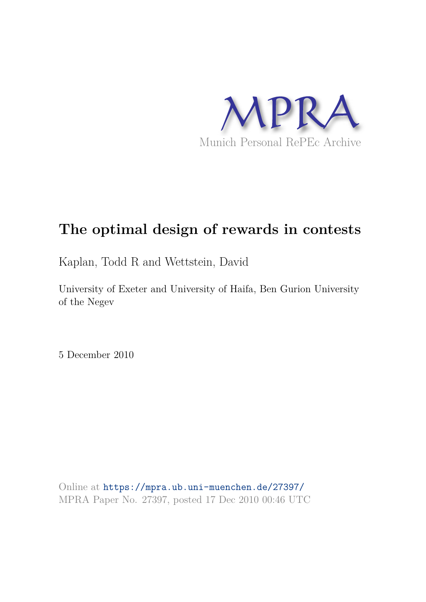

# **The optimal design of rewards in contests**

Kaplan, Todd R and Wettstein, David

University of Exeter and University of Haifa, Ben Gurion University of the Negev

5 December 2010

Online at https://mpra.ub.uni-muenchen.de/27397/ MPRA Paper No. 27397, posted 17 Dec 2010 00:46 UTC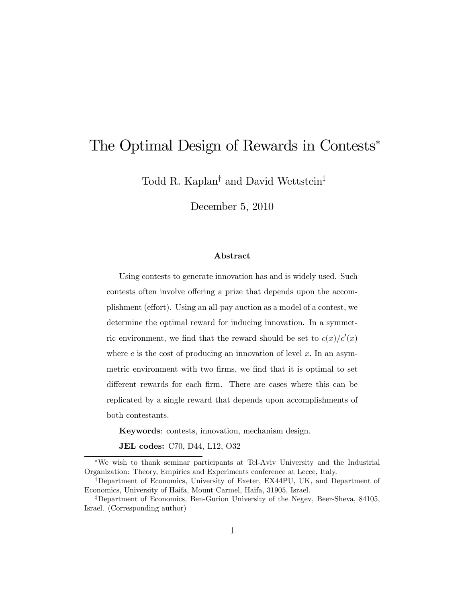# The Optimal Design of Rewards in Contests

Todd R. Kaplan<sup>†</sup> and David Wettstein<sup>‡</sup>

December 5, 2010

#### Abstract

Using contests to generate innovation has and is widely used. Such contests often involve offering a prize that depends upon the accomplishment (effort). Using an all-pay auction as a model of a contest, we determine the optimal reward for inducing innovation. In a symmetric environment, we find that the reward should be set to  $c(x)/c'(x)$ where c is the cost of producing an innovation of level x. In an asymmetric environment with two firms, we find that it is optimal to set different rewards for each firm. There are cases where this can be replicated by a single reward that depends upon accomplishments of both contestants.

Keywords: contests, innovation, mechanism design.

JEL codes: C70, D44, L12, O32

We wish to thank seminar participants at Tel-Aviv University and the Industrial Organization: Theory, Empirics and Experiments conference at Lecce, Italy.

<sup>&</sup>lt;sup>†</sup>Department of Economics, University of Exeter, EX44PU, UK, and Department of Economics, University of Haifa, Mount Carmel, Haifa, 31905, Israel.

<sup>&</sup>lt;sup>‡</sup>Department of Economics, Ben-Gurion University of the Negev, Beer-Sheva, 84105, Israel. (Corresponding author)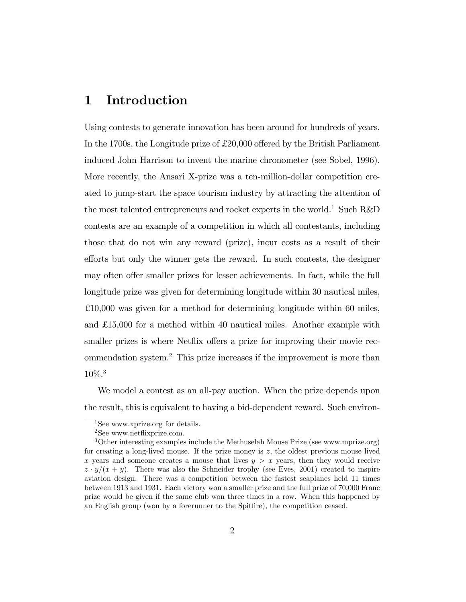## 1 Introduction

Using contests to generate innovation has been around for hundreds of years. In the 1700s, the Longitude prize of  $£20,000$  offered by the British Parliament induced John Harrison to invent the marine chronometer (see Sobel, 1996). More recently, the Ansari X-prize was a ten-million-dollar competition created to jump-start the space tourism industry by attracting the attention of the most talented entrepreneurs and rocket experts in the world.<sup>1</sup> Such R&D contests are an example of a competition in which all contestants, including those that do not win any reward (prize), incur costs as a result of their efforts but only the winner gets the reward. In such contests, the designer may often offer smaller prizes for lesser achievements. In fact, while the full longitude prize was given for determining longitude within 30 nautical miles, £10,000 was given for a method for determining longitude within 60 miles, and £15,000 for a method within 40 nautical miles. Another example with smaller prizes is where Netflix offers a prize for improving their movie recommendation system.<sup>2</sup> This prize increases if the improvement is more than 10%.<sup>3</sup>

We model a contest as an all-pay auction. When the prize depends upon the result, this is equivalent to having a bid-dependent reward. Such environ-

<sup>&</sup>lt;sup>1</sup>See www.xprize.org for details.

 $2$ See www.netflixprize.com.

<sup>&</sup>lt;sup>3</sup>Other interesting examples include the Methuselah Mouse Prize (see www.mprize.org) for creating a long-lived mouse. If the prize money is z, the oldest previous mouse lived x years and someone creates a mouse that lives  $y > x$  years, then they would receive  $z \cdot y/(x + y)$ . There was also the Schneider trophy (see Eves, 2001) created to inspire aviation design. There was a competition between the fastest seaplanes held 11 times between 1913 and 1931. Each victory won a smaller prize and the full prize of 70,000 Franc prize would be given if the same club won three times in a row. When this happened by an English group (won by a forerunner to the Spitfire), the competition ceased.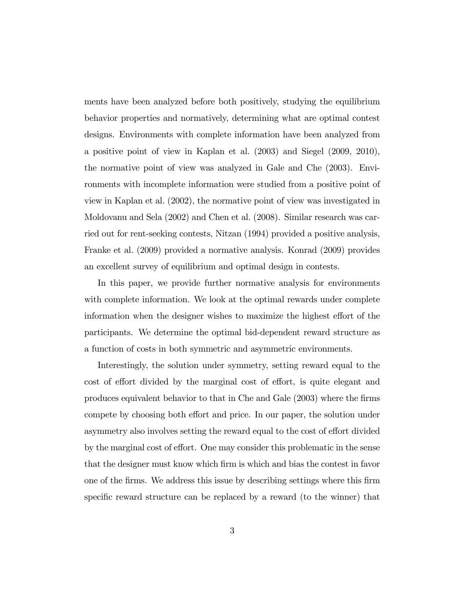ments have been analyzed before both positively, studying the equilibrium behavior properties and normatively, determining what are optimal contest designs. Environments with complete information have been analyzed from a positive point of view in Kaplan et al. (2003) and Siegel (2009, 2010), the normative point of view was analyzed in Gale and Che (2003). Environments with incomplete information were studied from a positive point of view in Kaplan et al. (2002), the normative point of view was investigated in Moldovanu and Sela (2002) and Chen et al. (2008). Similar research was carried out for rent-seeking contests, Nitzan (1994) provided a positive analysis, Franke et al. (2009) provided a normative analysis. Konrad (2009) provides an excellent survey of equilibrium and optimal design in contests.

In this paper, we provide further normative analysis for environments with complete information. We look at the optimal rewards under complete information when the designer wishes to maximize the highest effort of the participants. We determine the optimal bid-dependent reward structure as a function of costs in both symmetric and asymmetric environments.

Interestingly, the solution under symmetry, setting reward equal to the cost of effort divided by the marginal cost of effort, is quite elegant and produces equivalent behavior to that in Che and Gale (2003) where the Örms compete by choosing both effort and price. In our paper, the solution under asymmetry also involves setting the reward equal to the cost of effort divided by the marginal cost of effort. One may consider this problematic in the sense that the designer must know which Örm is which and bias the contest in favor one of the Örms. We address this issue by describing settings where this Örm specific reward structure can be replaced by a reward (to the winner) that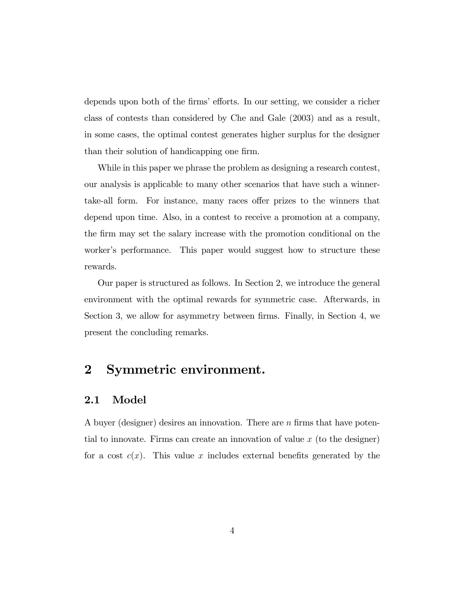depends upon both of the firms' efforts. In our setting, we consider a richer class of contests than considered by Che and Gale (2003) and as a result, in some cases, the optimal contest generates higher surplus for the designer than their solution of handicapping one firm.

While in this paper we phrase the problem as designing a research contest, our analysis is applicable to many other scenarios that have such a winnertake-all form. For instance, many races offer prizes to the winners that depend upon time. Also, in a contest to receive a promotion at a company, the Örm may set the salary increase with the promotion conditional on the worker's performance. This paper would suggest how to structure these rewards.

Our paper is structured as follows. In Section 2, we introduce the general environment with the optimal rewards for symmetric case. Afterwards, in Section 3, we allow for asymmetry between firms. Finally, in Section 4, we present the concluding remarks.

## 2 Symmetric environment.

#### 2.1 Model

A buyer (designer) desires an innovation. There are  $n$  firms that have potential to innovate. Firms can create an innovation of value  $x$  (to the designer) for a cost  $c(x)$ . This value x includes external benefits generated by the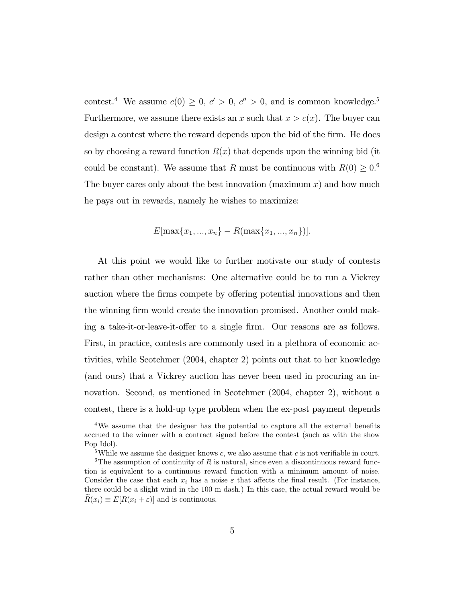contest.<sup>4</sup> We assume  $c(0) \geq 0, c' > 0, c'' > 0$ , and is common knowledge.<sup>5</sup> Furthermore, we assume there exists an x such that  $x > c(x)$ . The buyer can design a contest where the reward depends upon the bid of the firm. He does so by choosing a reward function  $R(x)$  that depends upon the winning bid (it could be constant). We assume that R must be continuous with  $R(0) \geq 0.6$ The buyer cares only about the best innovation (maximum  $x$ ) and how much he pays out in rewards, namely he wishes to maximize:

$$
E[\max\{x_1, ..., x_n\} - R(\max\{x_1, ..., x_n\})].
$$

At this point we would like to further motivate our study of contests rather than other mechanisms: One alternative could be to run a Vickrey auction where the firms compete by offering potential innovations and then the winning firm would create the innovation promised. Another could making a take-it-or-leave-it-offer to a single firm. Our reasons are as follows. First, in practice, contests are commonly used in a plethora of economic activities, while Scotchmer (2004, chapter 2) points out that to her knowledge (and ours) that a Vickrey auction has never been used in procuring an innovation. Second, as mentioned in Scotchmer (2004, chapter 2), without a contest, there is a hold-up type problem when the ex-post payment depends

 $4W$ e assume that the designer has the potential to capture all the external benefits accrued to the winner with a contract signed before the contest (such as with the show Pop Idol).

<sup>&</sup>lt;sup>5</sup>While we assume the designer knows c, we also assume that c is not verifiable in court.

<sup>&</sup>lt;sup>6</sup>The assumption of continuity of R is natural, since even a discontinuous reward function is equivalent to a continuous reward function with a minimum amount of noise. Consider the case that each  $x_i$  has a noise  $\varepsilon$  that affects the final result. (For instance, there could be a slight wind in the 100 m dash.) In this case, the actual reward would be  $\widetilde{R}(x_i) \equiv E[R(x_i + \varepsilon)]$  and is continuous.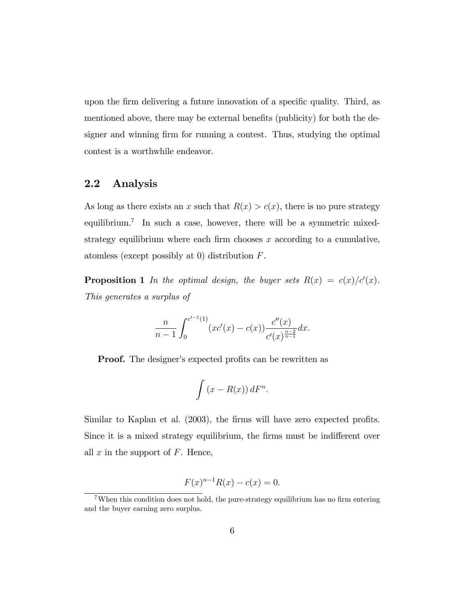upon the firm delivering a future innovation of a specific quality. Third, as mentioned above, there may be external benefits (publicity) for both the designer and winning firm for running a contest. Thus, studying the optimal contest is a worthwhile endeavor.

### 2.2 Analysis

As long as there exists an x such that  $R(x) > c(x)$ , there is no pure strategy equilibrium.<sup>7</sup> In such a case, however, there will be a symmetric mixedstrategy equilibrium where each firm chooses  $x$  according to a cumulative, atomless (except possibly at 0) distribution F.

**Proposition 1** In the optimal design, the buyer sets  $R(x) = c(x)/c'(x)$ . This generates a surplus of

$$
\frac{n}{n-1} \int_0^{c'-1(1)} (xc'(x) - c(x)) \frac{c''(x)}{c'(x)^{\frac{n-2}{n-1}}} dx.
$$

**Proof.** The designer's expected profits can be rewritten as

$$
\int (x - R(x)) dF^n.
$$

Similar to Kaplan et al. (2003), the firms will have zero expected profits. Since it is a mixed strategy equilibrium, the firms must be indifferent over all  $x$  in the support of  $F$ . Hence,

$$
F(x)^{n-1}R(x) - c(x) = 0.
$$

<sup>&</sup>lt;sup>7</sup>When this condition does not hold, the pure-strategy equilibrium has no firm entering and the buyer earning zero surplus.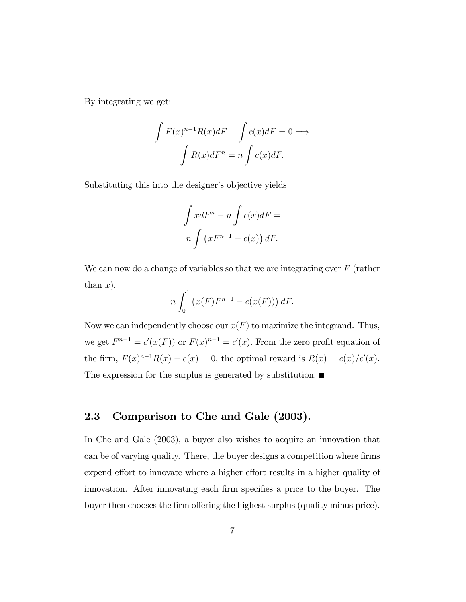By integrating we get:

$$
\int F(x)^{n-1} R(x) dF - \int c(x) dF = 0 \Longrightarrow
$$

$$
\int R(x) dF^n = n \int c(x) dF.
$$

Substituting this into the designer's objective yields

$$
\int x dF^n - n \int c(x) dF =
$$
  

$$
n \int (xF^{n-1} - c(x)) dF.
$$

We can now do a change of variables so that we are integrating over  $F$  (rather than  $x$ ).

$$
n\int_0^1 \left(x(F)F^{n-1} - c(x(F))\right)dF.
$$

Now we can independently choose our  $x(F)$  to maximize the integrand. Thus, we get  $F^{n-1} = c'(x(F))$  or  $F(x)^{n-1} = c'(x)$ . From the zero profit equation of the firm,  $F(x)^{n-1}R(x) - c(x) = 0$ , the optimal reward is  $R(x) = c(x)/c'(x)$ . The expression for the surplus is generated by substitution.

### 2.3 Comparison to Che and Gale (2003).

In Che and Gale (2003), a buyer also wishes to acquire an innovation that can be of varying quality. There, the buyer designs a competition where firms expend effort to innovate where a higher effort results in a higher quality of innovation. After innovating each firm specifies a price to the buyer. The buyer then chooses the firm offering the highest surplus (quality minus price).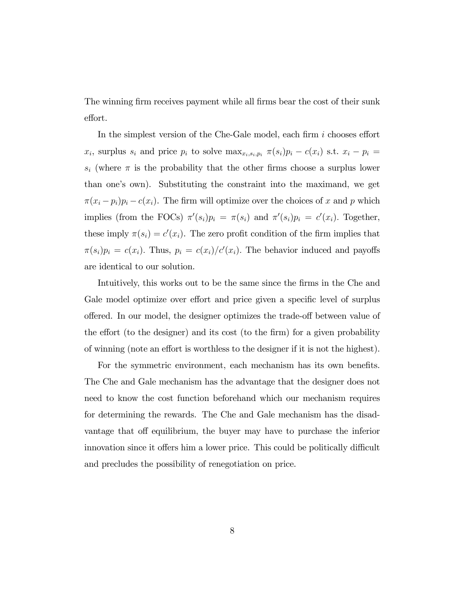The winning firm receives payment while all firms bear the cost of their sunk effort.

In the simplest version of the Che-Gale model, each firm  $i$  chooses effort  $x_i$ , surplus  $s_i$  and price  $p_i$  to solve  $\max_{x_i, s_i, p_i} \pi(s_i)p_i - c(x_i)$  s.t.  $x_i - p_i =$  $s_i$  (where  $\pi$  is the probability that the other firms choose a surplus lower than one's own). Substituting the constraint into the maximand, we get  $\pi(x_i - p_i)p_i - c(x_i)$ . The firm will optimize over the choices of x and p which implies (from the FOCs)  $\pi'(s_i)p_i = \pi(s_i)$  and  $\pi'(s_i)p_i = c'(x_i)$ . Together, these imply  $\pi(s_i) = c'(x_i)$ . The zero profit condition of the firm implies that  $\pi(s_i)p_i = c(x_i)$ . Thus,  $p_i = c(x_i)/c'(x_i)$ . The behavior induced and payoffs are identical to our solution.

Intuitively, this works out to be the same since the firms in the Che and Gale model optimize over effort and price given a specific level of surplus offered. In our model, the designer optimizes the trade-off between value of the effort (to the designer) and its cost (to the firm) for a given probability of winning (note an effort is worthless to the designer if it is not the highest).

For the symmetric environment, each mechanism has its own benefits. The Che and Gale mechanism has the advantage that the designer does not need to know the cost function beforehand which our mechanism requires for determining the rewards. The Che and Gale mechanism has the disadvantage that off equilibrium, the buyer may have to purchase the inferior innovation since it offers him a lower price. This could be politically difficult and precludes the possibility of renegotiation on price.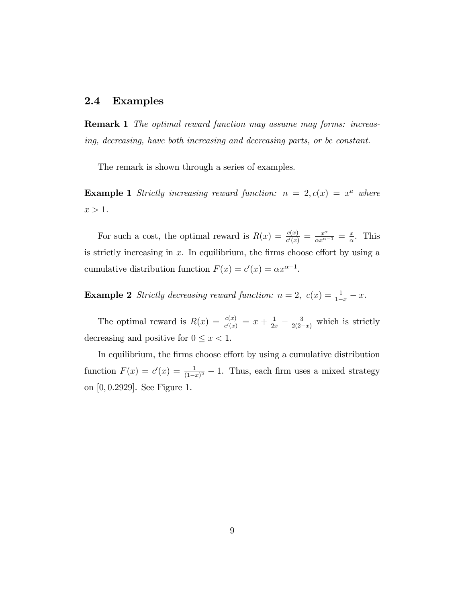#### 2.4 Examples

Remark 1 The optimal reward function may assume may forms: increasing, decreasing, have both increasing and decreasing parts, or be constant.

The remark is shown through a series of examples.

**Example 1** Strictly increasing reward function:  $n = 2$ ,  $c(x) = x^a$  where  $x > 1$ .

For such a cost, the optimal reward is  $R(x) = \frac{c(x)}{c'(x)} = \frac{x^{\alpha}}{\alpha x^{\alpha-1}} = \frac{x^{\alpha}}{\alpha}$  $\frac{x}{\alpha}$ . This is strictly increasing in  $x$ . In equilibrium, the firms choose effort by using a cumulative distribution function  $F(x) = c'(x) = \alpha x^{\alpha-1}$ .

**Example 2** Strictly decreasing reward function:  $n = 2$ ,  $c(x) = \frac{1}{1-x} - x$ .

The optimal reward is  $R(x) = \frac{c(x)}{c'(x)} = x + \frac{1}{2x} - \frac{3}{2(2-x)}$  which is strictly decreasing and positive for  $0 \leq x < 1$ .

In equilibrium, the firms choose effort by using a cumulative distribution function  $F(x) = c'(x) = \frac{1}{(1-x)^2} - 1$ . Thus, each firm uses a mixed strategy on [0; 0:2929]. See Figure 1.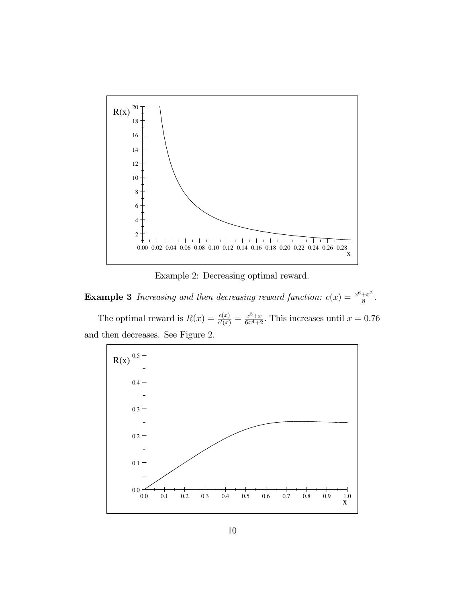

Example 2: Decreasing optimal reward.

**Example 3** Increasing and then decreasing reward function:  $c(x) = \frac{x^6 + x^2}{8}$  $\frac{+x^2}{8}$ .

The optimal reward is  $R(x) = \frac{c(x)}{c'(x)} = \frac{x^5+x}{6x^4+2}$ . This increases until  $x = 0.76$ and then decreases. See Figure 2.

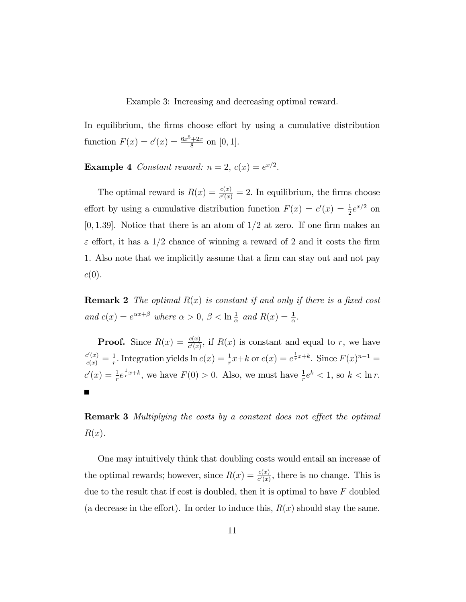Example 3: Increasing and decreasing optimal reward.

In equilibrium, the firms choose effort by using a cumulative distribution function  $F(x) = c'(x) = \frac{6x^5 + 2x}{8}$  $\frac{+2x}{8}$  on [0, 1].

**Example 4** Constant reward:  $n = 2$ ,  $c(x) = e^{x/2}$ .

The optimal reward is  $R(x) = \frac{c(x)}{c'(x)} = 2$ . In equilibrium, the firms choose effort by using a cumulative distribution function  $F(x) = c'(x) = \frac{1}{2}e^{x/2}$  on [0, 1.39]. Notice that there is an atom of  $1/2$  at zero. If one firm makes an  $\varepsilon$  effort, it has a 1/2 chance of winning a reward of 2 and it costs the firm 1. Also note that we implicitly assume that a firm can stay out and not pay  $c(0).$ 

**Remark 2** The optimal  $R(x)$  is constant if and only if there is a fixed cost and  $c(x) = e^{\alpha x + \beta}$  where  $\alpha > 0$ ,  $\beta < \ln \frac{1}{\alpha}$  and  $R(x) = \frac{1}{\alpha}$ .

**Proof.** Since  $R(x) = \frac{c(x)}{c'(x)}$ , if  $R(x)$  is constant and equal to r, we have  $\frac{c'(x)}{c(x)} = \frac{1}{r}$ <sup>1</sup>/<sub>r</sub>. Integration yields  $\ln c(x) = \frac{1}{r}x+k$  or  $c(x) = e^{\frac{1}{r}x+k}$ . Since  $F(x)^{n-1} =$  $c'(x) = \frac{1}{r}e^{\frac{1}{r}x+k}$ , we have  $F(0) > 0$ . Also, we must have  $\frac{1}{r}e^k < 1$ , so  $k < \ln r$ .

**Remark 3** Multiplying the costs by a constant does not effect the optimal  $R(x)$ .

One may intuitively think that doubling costs would entail an increase of the optimal rewards; however, since  $R(x) = \frac{c(x)}{c'(x)}$ , there is no change. This is due to the result that if cost is doubled, then it is optimal to have  $F$  doubled (a decrease in the effort). In order to induce this,  $R(x)$  should stay the same.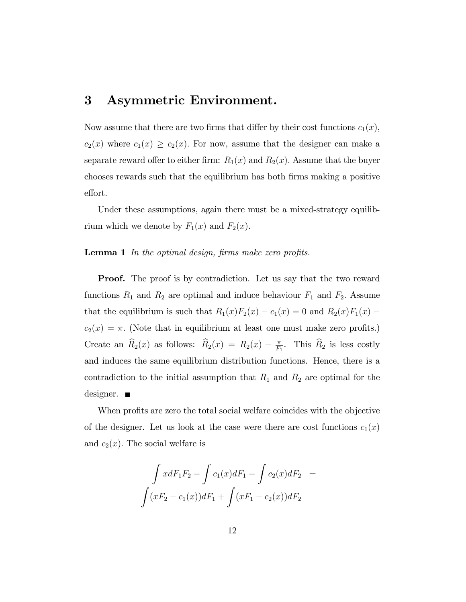## 3 Asymmetric Environment.

Now assume that there are two firms that differ by their cost functions  $c_1(x)$ ,  $c_2(x)$  where  $c_1(x) \ge c_2(x)$ . For now, assume that the designer can make a separate reward offer to either firm:  $R_1(x)$  and  $R_2(x)$ . Assume that the buyer chooses rewards such that the equilibrium has both Örms making a positive effort.

Under these assumptions, again there must be a mixed-strategy equilibrium which we denote by  $F_1(x)$  and  $F_2(x)$ .

#### **Lemma 1** In the optimal design, firms make zero profits.

**Proof.** The proof is by contradiction. Let us say that the two reward functions  $R_1$  and  $R_2$  are optimal and induce behaviour  $F_1$  and  $F_2$ . Assume that the equilibrium is such that  $R_1(x)F_2(x) - c_1(x) = 0$  and  $R_2(x)F_1(x)$  $c_2(x) = \pi$ . (Note that in equilibrium at least one must make zero profits.) Create an  $\widehat{R}_2(x)$  as follows:  $\widehat{R}_2(x) = R_2(x) - \frac{\pi}{F_2}$  $\frac{\pi}{F_1}$ . This  $R_2$  is less costly and induces the same equilibrium distribution functions. Hence, there is a contradiction to the initial assumption that  $R_1$  and  $R_2$  are optimal for the designer. ■

When profits are zero the total social welfare coincides with the objective of the designer. Let us look at the case were there are cost functions  $c_1(x)$ and  $c_2(x)$ . The social welfare is

$$
\int x dF_1 F_2 - \int c_1(x) dF_1 - \int c_2(x) dF_2 =
$$

$$
\int (xF_2 - c_1(x)) dF_1 + \int (xF_1 - c_2(x)) dF_2
$$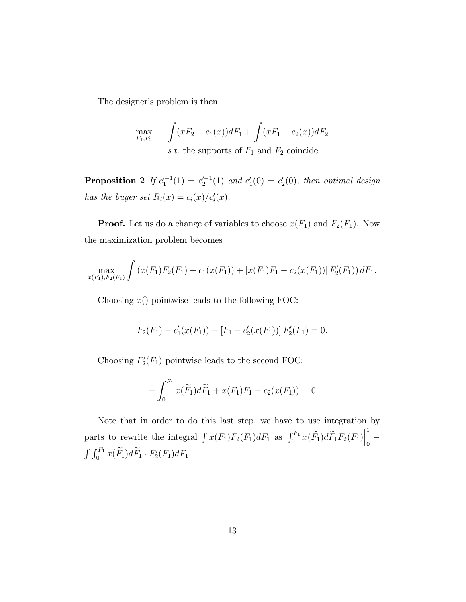The designer's problem is then

$$
\max_{F_1, F_2} \int (xF_2 - c_1(x))dF_1 + \int (xF_1 - c_2(x))dF_2
$$
  
s.t. the supports of  $F_1$  and  $F_2$  coincide.

**Proposition 2** If  $c_1^{-1}(1) = c_2^{-1}(1)$  and  $c_1'(0) = c_2'(0)$ , then optimal design has the buyer set  $R_i(x) = c_i(x)/c'_i(x)$ .

**Proof.** Let us do a change of variables to choose  $x(F_1)$  and  $F_2(F_1)$ . Now the maximization problem becomes

$$
\max_{x(F_1), F_2(F_1)} \int (x(F_1)F_2(F_1) - c_1(x(F_1)) + [x(F_1)F_1 - c_2(x(F_1))] F_2'(F_1)) dF_1.
$$

Choosing  $x()$  pointwise leads to the following FOC:

$$
F_2(F_1) - c'_1(x(F_1)) + [F_1 - c'_2(x(F_1))] F'_2(F_1) = 0.
$$

Choosing  $F_2'(F_1)$  pointwise leads to the second FOC:

$$
-\int_0^{F_1} x(\widetilde{F}_1)d\widetilde{F}_1 + x(F_1)F_1 - c_2(x(F_1)) = 0
$$

Note that in order to do this last step, we have to use integration by parts to rewrite the integral  $\int x(F_1)F_2(F_1)dF_1$  as  $\int_0^{F_1} x(\widetilde{F}_1)d\widetilde{F}_1F_2(F_1)$ 1  $\overline{0}$  $\int \int_0^{F_1} x(\widetilde{F}_1)d\widetilde{F}_1 \cdot F'_2(F_1)dF_1.$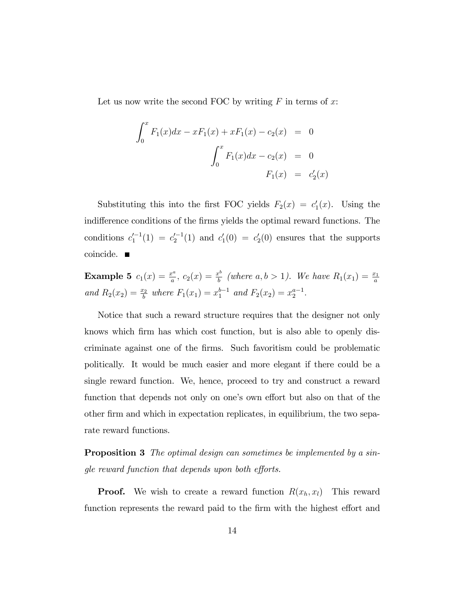Let us now write the second FOC by writing  $F$  in terms of  $x$ :

$$
\int_0^x F_1(x)dx - xF_1(x) + xF_1(x) - c_2(x) = 0
$$

$$
\int_0^x F_1(x)dx - c_2(x) = 0
$$

$$
F_1(x) = c'_2(x)
$$

Substituting this into the first FOC yields  $F_2(x) = c'_1(x)$ . Using the indifference conditions of the firms yields the optimal reward functions. The conditions  $c_1^{-1}(1) = c_2^{-1}(1)$  and  $c_1'(0) = c_2'(0)$  ensures that the supports coincide.

**Example 5** 
$$
c_1(x) = \frac{x^a}{a}
$$
,  $c_2(x) = \frac{x^b}{b}$  (where  $a, b > 1$ ). We have  $R_1(x_1) = \frac{x_1}{a}$   
and  $R_2(x_2) = \frac{x_2}{b}$  where  $F_1(x_1) = x_1^{b-1}$  and  $F_2(x_2) = x_2^{a-1}$ .

Notice that such a reward structure requires that the designer not only knows which firm has which cost function, but is also able to openly discriminate against one of the Örms. Such favoritism could be problematic politically. It would be much easier and more elegant if there could be a single reward function. We, hence, proceed to try and construct a reward function that depends not only on one's own effort but also on that of the other Örm and which in expectation replicates, in equilibrium, the two separate reward functions.

**Proposition 3** The optimal design can sometimes be implemented by a single reward function that depends upon both efforts.

**Proof.** We wish to create a reward function  $R(x_h, x_l)$  This reward function represents the reward paid to the firm with the highest effort and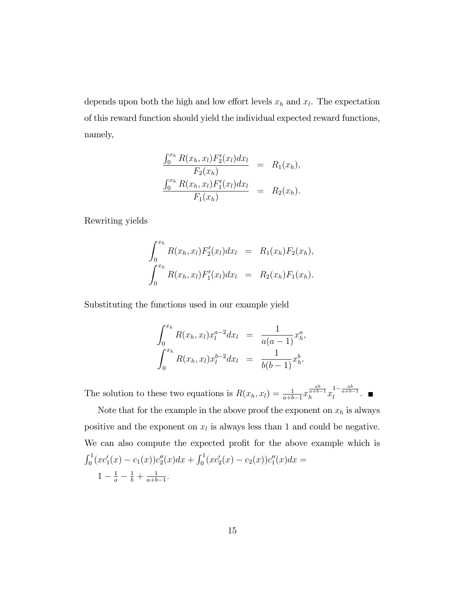depends upon both the high and low effort levels  $x_h$  and  $x_l$ . The expectation of this reward function should yield the individual expected reward functions, namely,

$$
\frac{\int_0^{x_h} R(x_h, x_l) F'_2(x_l) dx_l}{F_2(x_h)} = R_1(x_h),
$$
  

$$
\frac{\int_0^{x_h} R(x_h, x_l) F'_1(x_l) dx_l}{F_1(x_h)} = R_2(x_h).
$$

Rewriting yields

$$
\int_0^{x_h} R(x_h, x_l) F'_2(x_l) dx_l = R_1(x_h) F_2(x_h),
$$
  

$$
\int_0^{x_h} R(x_h, x_l) F'_1(x_l) dx_l = R_2(x_h) F_1(x_h).
$$

Substituting the functions used in our example yield

$$
\int_0^{x_h} R(x_h, x_l) x_l^{a-2} dx_l = \frac{1}{a(a-1)} x_h^a,
$$
  

$$
\int_0^{x_h} R(x_h, x_l) x_l^{b-2} dx_l = \frac{1}{b(b-1)} x_h^b.
$$

The solution to these two equations is  $R(x_h, x_l) = \frac{1}{a+b-1}x_l$  $\frac{ab}{a+b-1}$  $\overset{ab}{\underset{h}{a+b-1}} x_l^{1-\frac{ab}{a+b-1}}$  $\int_l^{a+b-1}$ .

Note that for the example in the above proof the exponent on  $x_h$  is always positive and the exponent on  $x_l$  is always less than 1 and could be negative. We can also compute the expected profit for the above example which is  $\int_0^1 (x c_1'(x) - c_1(x)) c_2''(x) dx + \int_0^1 (x c_2'(x) - c_2(x)) c_1''(x) dx =$  $1-\frac{1}{a}-\frac{1}{b}+\frac{1}{a+b}$  $\frac{1}{a+b-1}$ .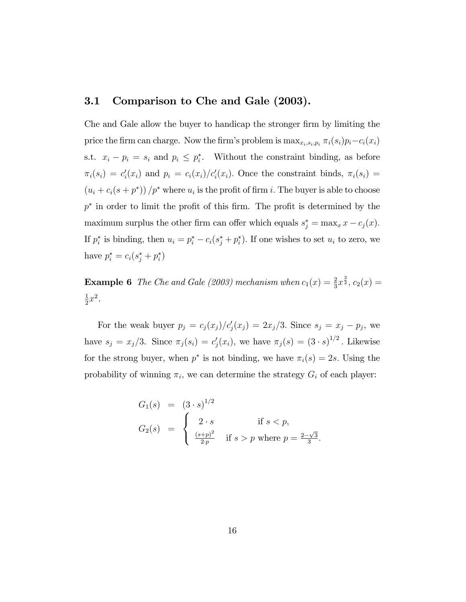#### 3.1 Comparison to Che and Gale (2003).

Che and Gale allow the buyer to handicap the stronger firm by limiting the price the firm can charge. Now the firm's problem is  $\max_{x_i, s_i, p_i} \pi_i(s_i)p_i - c_i(x_i)$ s.t.  $x_i - p_i = s_i$  and  $p_i \leq p_i^*$ . Without the constraint binding, as before  $\pi_i(s_i) = c_i'(x_i)$  and  $p_i = c_i(x_i)/c_i'(x_i)$ . Once the constraint binds,  $\pi_i(s_i) =$  $(u_i + c_i(s + p^*))/p^*$  where  $u_i$  is the profit of firm i. The buyer is able to choose  $p^*$  in order to limit the profit of this firm. The profit is determined by the maximum surplus the other firm can offer which equals  $s_j^* = \max_x x - c_j(x)$ . If  $p_i^*$  is binding, then  $u_i = p_i^* - c_i(s_j^* + p_i^*)$ . If one wishes to set  $u_i$  to zero, we have  $p_i^* = c_i(s_j^* + p_i^*)$ 

**Example 6** The Che and Gale (2003) mechanism when  $c_1(x) = \frac{2}{3}x^{\frac{3}{2}}$ ,  $c_2(x) =$ 1  $\frac{1}{2}x^2$ .

For the weak buyer  $p_j = c_j(x_j)/c'_j(x_j) = 2x_j/3$ . Since  $s_j = x_j - p_j$ , we have  $s_j = x_j/3$ . Since  $\pi_j (s_i) = c'_j(x_i)$ , we have  $\pi_j (s) = (3 \cdot s)^{1/2}$ . Likewise for the strong buyer, when  $p^*$  is not binding, we have  $\pi_i(s) = 2s$ . Using the probability of winning  $\pi_i$ , we can determine the strategy  $G_i$  of each player:

$$
G_1(s) = (3 \cdot s)^{1/2}
$$
  
\n
$$
G_2(s) = \begin{cases} 2 \cdot s & \text{if } s < p, \\ \frac{(s+p)^2}{2p} & \text{if } s > p \text{ where } p = \frac{2-\sqrt{3}}{3} \end{cases}
$$

: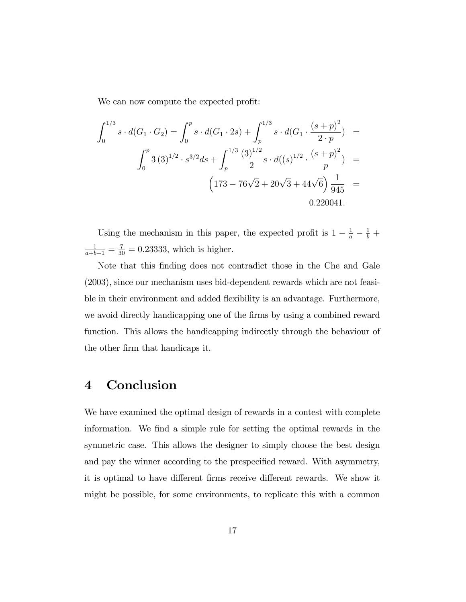We can now compute the expected profit:

$$
\int_0^{1/3} s \cdot d(G_1 \cdot G_2) = \int_0^p s \cdot d(G_1 \cdot 2s) + \int_p^{1/3} s \cdot d(G_1 \cdot \frac{(s+p)^2}{2 \cdot p}) =
$$
  

$$
\int_0^p 3 (3)^{1/2} \cdot s^{3/2} ds + \int_p^{1/3} \frac{(3)^{1/2}}{2} s \cdot d((s)^{1/2} \cdot \frac{(s+p)^2}{p}) =
$$
  

$$
\left(173 - 76\sqrt{2} + 20\sqrt{3} + 44\sqrt{6}\right) \frac{1}{945} =
$$
  
0.220041.

Using the mechanism in this paper, the expected profit is  $1 - \frac{1}{a} - \frac{1}{b} +$  $\frac{1}{a+b-1} = \frac{7}{30} = 0.23333$ , which is higher.

Note that this finding does not contradict those in the Che and Gale (2003), since our mechanism uses bid-dependent rewards which are not feasible in their environment and added flexibility is an advantage. Furthermore, we avoid directly handicapping one of the firms by using a combined reward function. This allows the handicapping indirectly through the behaviour of the other firm that handicaps it.

## 4 Conclusion

We have examined the optimal design of rewards in a contest with complete information. We find a simple rule for setting the optimal rewards in the symmetric case. This allows the designer to simply choose the best design and pay the winner according to the prespecified reward. With asymmetry, it is optimal to have different firms receive different rewards. We show it might be possible, for some environments, to replicate this with a common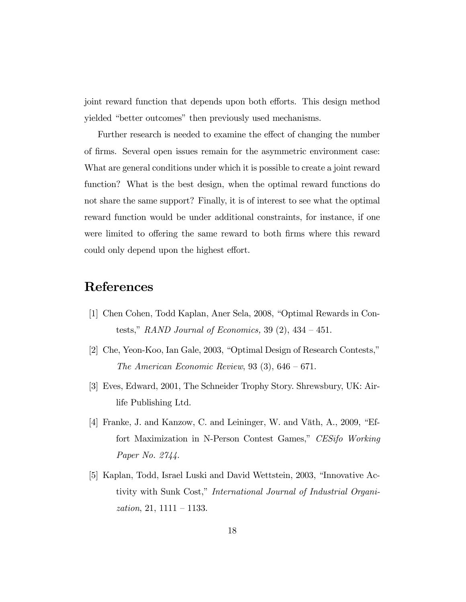joint reward function that depends upon both efforts. This design method yielded "better outcomes" then previously used mechanisms.

Further research is needed to examine the effect of changing the number of Örms. Several open issues remain for the asymmetric environment case: What are general conditions under which it is possible to create a joint reward function? What is the best design, when the optimal reward functions do not share the same support? Finally, it is of interest to see what the optimal reward function would be under additional constraints, for instance, if one were limited to offering the same reward to both firms where this reward could only depend upon the highest effort.

## References

- [1] Chen Cohen, Todd Kaplan, Aner Sela, 2008, "Optimal Rewards in Contests," RAND Journal of Economics, 39  $(2)$ , 434 – 451.
- $[2]$  Che, Yeon-Koo, Ian Gale, 2003, "Optimal Design of Research Contests," The American Economic Review, 93  $(3)$ , 646 – 671.
- [3] Eves, Edward, 2001, The Schneider Trophy Story. Shrewsbury, UK: Airlife Publishing Ltd.
- [4] Franke, J. and Kanzow, C. and Leininger, W. and Väth, A.,  $2009$ , "Effort Maximization in N-Person Contest Games," CESifo Working Paper No. 2744.
- [5] Kaplan, Todd, Israel Luski and David Wettstein, 2003, "Innovative Activity with Sunk Cost," International Journal of Industrial Organization, 21, 1111 – 1133.